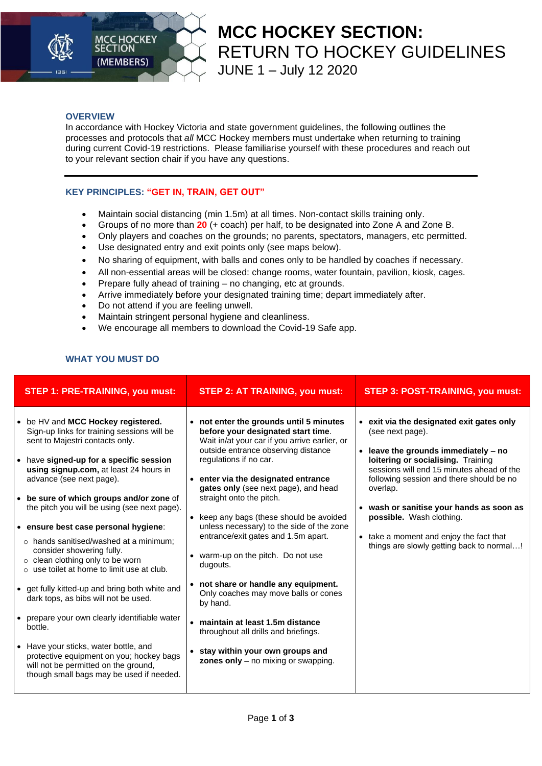

## **MCC HOCKEY SECTION:**  RETURN TO HOCKEY GUIDELINES JUNE 1 – July 12 2020

#### **OVERVIEW**

In accordance with Hockey Victoria and state government guidelines, the following outlines the processes and protocols that *all* MCC Hockey members must undertake when returning to training during current Covid-19 restrictions. Please familiarise yourself with these procedures and reach out to your relevant section chair if you have any questions.

### **KEY PRINCIPLES: "GET IN, TRAIN, GET OUT"**

- Maintain social distancing (min 1.5m) at all times. Non-contact skills training only.
- Groups of no more than **20** (+ coach) per half, to be designated into Zone A and Zone B.
- Only players and coaches on the grounds; no parents, spectators, managers, etc permitted.
- Use designated entry and exit points only (see maps below).
- No sharing of equipment, with balls and cones only to be handled by coaches if necessary.
- All non-essential areas will be closed: change rooms, water fountain, pavilion, kiosk, cages.
- Prepare fully ahead of training no changing, etc at grounds.
- Arrive immediately before your designated training time; depart immediately after.
- Do not attend if you are feeling unwell.
- Maintain stringent personal hygiene and cleanliness.
- We encourage all members to download the Covid-19 Safe app.

### **WHAT YOU MUST DO**

| <b>STEP 1: PRE-TRAINING, you must:</b>                                                                                                                                                                                                                                                                                                                                                                                                                                                                                                                                                                                                                                                                                                                                                                                                                                              | <b>STEP 2: AT TRAINING, you must:</b>                                                                                                                                                                                                                                                                                                                                                                                                                                                                                                                                                                                                                                                                                                         | <b>STEP 3: POST-TRAINING, you must:</b>                                                                                                                                                                                                                                                                                                                                                                                     |
|-------------------------------------------------------------------------------------------------------------------------------------------------------------------------------------------------------------------------------------------------------------------------------------------------------------------------------------------------------------------------------------------------------------------------------------------------------------------------------------------------------------------------------------------------------------------------------------------------------------------------------------------------------------------------------------------------------------------------------------------------------------------------------------------------------------------------------------------------------------------------------------|-----------------------------------------------------------------------------------------------------------------------------------------------------------------------------------------------------------------------------------------------------------------------------------------------------------------------------------------------------------------------------------------------------------------------------------------------------------------------------------------------------------------------------------------------------------------------------------------------------------------------------------------------------------------------------------------------------------------------------------------------|-----------------------------------------------------------------------------------------------------------------------------------------------------------------------------------------------------------------------------------------------------------------------------------------------------------------------------------------------------------------------------------------------------------------------------|
| • be HV and MCC Hockey registered.<br>Sign-up links for training sessions will be<br>sent to Majestri contacts only.<br>• have signed-up for a specific session<br>using signup.com, at least 24 hours in<br>advance (see next page).<br>• be sure of which groups and/or zone of<br>the pitch you will be using (see next page).<br>• ensure best case personal hygiene:<br>$\circ$ hands sanitised/washed at a minimum;<br>consider showering fully.<br>$\circ$ clean clothing only to be worn<br>$\circ$ use toilet at home to limit use at club.<br>• get fully kitted-up and bring both white and<br>dark tops, as bibs will not be used.<br>• prepare your own clearly identifiable water<br>bottle.<br>• Have your sticks, water bottle, and<br>protective equipment on you; hockey bags<br>will not be permitted on the ground,<br>though small bags may be used if needed. | • not enter the grounds until 5 minutes<br>before your designated start time.<br>Wait in/at your car if you arrive earlier, or<br>outside entrance observing distance<br>regulations if no car.<br>• enter via the designated entrance<br>gates only (see next page), and head<br>straight onto the pitch.<br>• keep any bags (these should be avoided<br>unless necessary) to the side of the zone<br>entrance/exit gates and 1.5m apart.<br>warm-up on the pitch. Do not use<br>dugouts.<br>• not share or handle any equipment.<br>Only coaches may move balls or cones<br>by hand.<br>• maintain at least 1.5m distance<br>throughout all drills and briefings.<br>stay within your own groups and<br>zones only - no mixing or swapping. | • exit via the designated exit gates only<br>(see next page).<br>leave the grounds immediately - no<br>$\bullet$<br>loitering or socialising. Training<br>sessions will end 15 minutes ahead of the<br>following session and there should be no<br>overlap.<br>• wash or sanitise your hands as soon as<br>possible. Wash clothing.<br>• take a moment and enjoy the fact that<br>things are slowly getting back to normal! |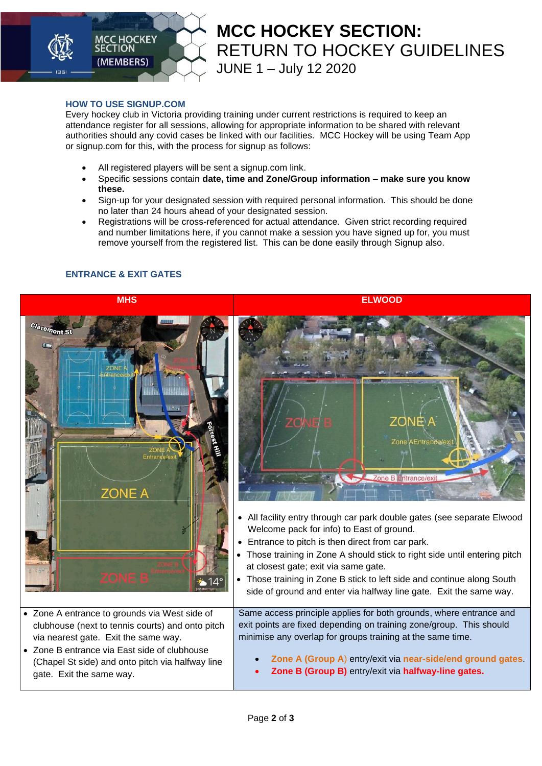

# **MCC HOCKEY SECTION:**  RETURN TO HOCKEY GUIDELINES JUNE 1 – July 12 2020

### **HOW TO USE SIGNUP.COM**

Every hockey club in Victoria providing training under current restrictions is required to keep an attendance register for all sessions, allowing for appropriate information to be shared with relevant authorities should any covid cases be linked with our facilities. MCC Hockey will be using Team App or signup.com for this, with the process for signup as follows:

- All registered players will be sent a signup.com link.
- Specific sessions contain **date, time and Zone/Group information make sure you know these.**
- Sign-up for your designated session with required personal information. This should be done no later than 24 hours ahead of your designated session.
- Registrations will be cross-referenced for actual attendance. Given strict recording required and number limitations here, if you cannot make a session you have signed up for, you must remove yourself from the registered list. This can be done easily through Signup also.

## **ENTRANCE & EXIT GATES**